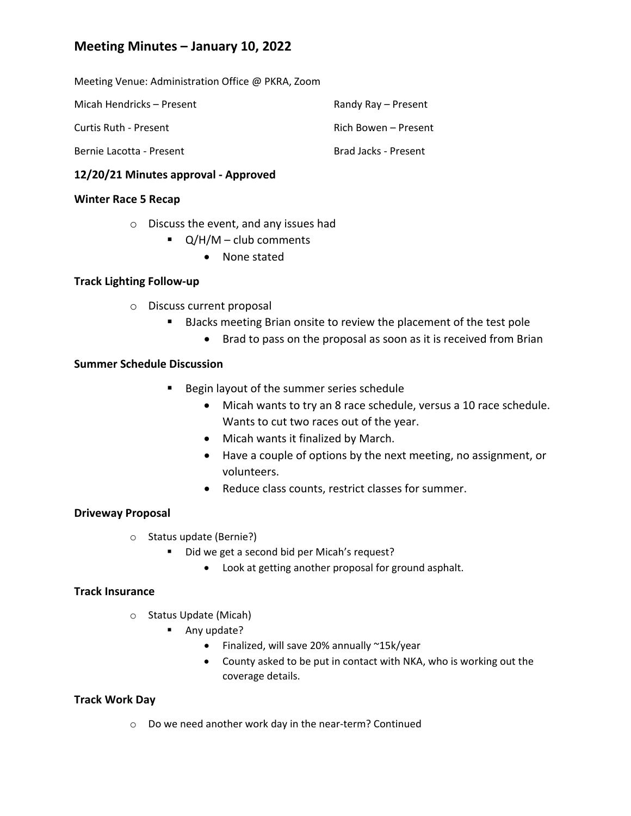# **Meeting Minutes – January 10, 2022**

Meeting Venue: Administration Office @ PKRA, Zoom

| Micah Hendricks – Present | Randy Ray – Present  |
|---------------------------|----------------------|
| Curtis Ruth - Present     | Rich Bowen – Present |
| Bernie Lacotta - Present  | Brad Jacks - Present |

# **12/20/21 Minutes approval ‐ Approved**

### **Winter Race 5 Recap**

- o Discuss the event, and any issues had
	- $\blacksquare$  Q/H/M club comments
		- None stated

## **Track Lighting Follow‐up**

- o Discuss current proposal
	- **BJacks meeting Brian onsite to review the placement of the test pole** 
		- Brad to pass on the proposal as soon as it is received from Brian

## **Summer Schedule Discussion**

- **Begin layout of the summer series schedule** 
	- Micah wants to try an 8 race schedule, versus a 10 race schedule. Wants to cut two races out of the year.
	- Micah wants it finalized by March.
	- Have a couple of options by the next meeting, no assignment, or volunteers.
	- Reduce class counts, restrict classes for summer.

# **Driveway Proposal**

- o Status update (Bernie?)
	- Did we get a second bid per Micah's request?
		- Look at getting another proposal for ground asphalt.

# **Track Insurance**

- o Status Update (Micah)
	- Any update?
		- Finalized, will save 20% annually ~15k/year
		- County asked to be put in contact with NKA, who is working out the coverage details.

# **Track Work Day**

o Do we need another work day in the near‐term? Continued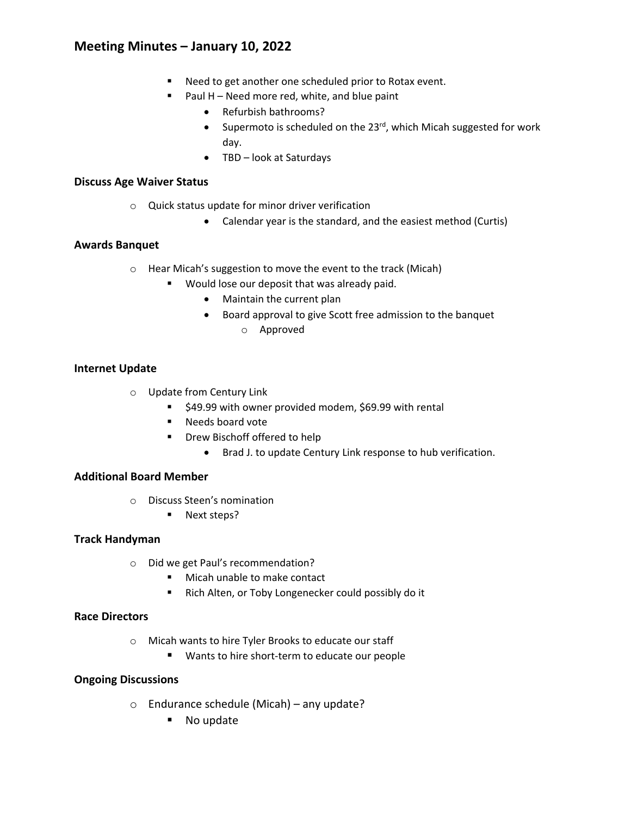# **Meeting Minutes – January 10, 2022**

- Need to get another one scheduled prior to Rotax event.
- Paul  $H$  Need more red, white, and blue paint
	- Refurbish bathrooms?
	- Supermoto is scheduled on the  $23^{rd}$ , which Micah suggested for work day.
	- TBD look at Saturdays

### **Discuss Age Waiver Status**

- o Quick status update for minor driver verification
	- Calendar year is the standard, and the easiest method (Curtis)

## **Awards Banquet**

- o Hear Micah's suggestion to move the event to the track (Micah)
	- **Would lose our deposit that was already paid.** 
		- Maintain the current plan
		- Board approval to give Scott free admission to the banquet o Approved

# **Internet Update**

- o Update from Century Link
	- \$49.99 with owner provided modem, \$69.99 with rental
	- Needs board vote
	- **•** Drew Bischoff offered to help
		- Brad J. to update Century Link response to hub verification.

### **Additional Board Member**

- o Discuss Steen's nomination
	- **Next steps?**

### **Track Handyman**

- o Did we get Paul's recommendation?
	- Micah unable to make contact
	- Rich Alten, or Toby Longenecker could possibly do it

### **Race Directors**

- o Micah wants to hire Tyler Brooks to educate our staff
	- Wants to hire short-term to educate our people

### **Ongoing Discussions**

- o Endurance schedule (Micah) any update?
	- No update